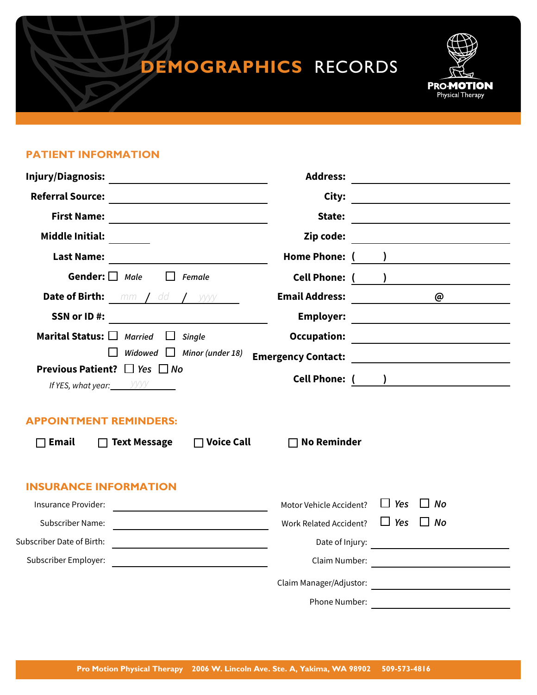## **DEMOGRAPHICS** RECORDS



## **PATIENT INFORMATION**

| Injury/Diagnosis:<br><u> 1989 - Johann Stein, mars an t-Amerikaansk kommunist (</u>                                                          | <b>Address:</b><br><u> 1980 - John Stein, Amerikaansk politiker (</u>                                                                                                                                                                          |
|----------------------------------------------------------------------------------------------------------------------------------------------|------------------------------------------------------------------------------------------------------------------------------------------------------------------------------------------------------------------------------------------------|
| <b>Referral Source:</b>                                                                                                                      | City:                                                                                                                                                                                                                                          |
| <b>First Name:</b><br><u> 1989 - Johann Stoff, deutscher Stoffen und der Stoffen und der Stoffen und der Stoffen und der Stoffen und der</u> | State:<br><u> 1989 - Johann Barbara, martxa alemaniar a</u>                                                                                                                                                                                    |
| <b>Middle Initial:</b>                                                                                                                       | Zip code:                                                                                                                                                                                                                                      |
| <b>Last Name:</b>                                                                                                                            | Home Phone: (<br>) and the set of the set of the set of the set of the set of the set of the set of the set of the set of the set of the set of the set of the set of the set of the set of the set of the set of the set of the set of the se |
| Gender: $\Box$ Male<br>Female                                                                                                                | <b>Cell Phone: (</b>                                                                                                                                                                                                                           |
| <b>Date of Birth:</b> mm / dd / yyyy                                                                                                         | <b>Email Address:</b><br>$\omega$                                                                                                                                                                                                              |
| SSN or ID#:<br><u> 1980 - Jan Barat, prima politik (</u>                                                                                     | <b>Employer:</b>                                                                                                                                                                                                                               |
| Marital Status: I Married<br>$\Box$<br>Single                                                                                                | <b>Occupation:</b>                                                                                                                                                                                                                             |
| Widowed $\Box$ Minor (under 18)                                                                                                              | <b>Emergency Contact:</b><br><u> 1989 - Johann Barn, fransk politik amerikansk politik (</u>                                                                                                                                                   |
| <b>Previous Patient?</b> $\Box$ Yes $\Box$ No                                                                                                |                                                                                                                                                                                                                                                |
| If YES, what year: $\frac{y}{y}$                                                                                                             | Cell Phone: ( <u>)</u>                                                                                                                                                                                                                         |
| <b>APPOINTMENT REMINDERS:</b>                                                                                                                |                                                                                                                                                                                                                                                |
| $\Box$ Voice Call<br>$\Box$ Text Message<br><b>Email</b>                                                                                     | $\Box$ No Reminder                                                                                                                                                                                                                             |
|                                                                                                                                              |                                                                                                                                                                                                                                                |
| <b>INSURANCE INFORMATION</b>                                                                                                                 |                                                                                                                                                                                                                                                |
| Insurance Provider:                                                                                                                          | $\Box$ Yes<br>$\Box$ No<br>Motor Vehicle Accident?                                                                                                                                                                                             |
| Subscriber Name:<br><u> 1980 - Johann Barn, mars an t-Amerikaansk kommunister (</u>                                                          | $\Box$ Yes $\Box$ No<br><b>Work Related Accident?</b>                                                                                                                                                                                          |
| Subscriber Date of Birth:<br>the contract of the contract of the contract of the contract of the contract of                                 | Date of Injury:                                                                                                                                                                                                                                |
| Subscriber Employer:                                                                                                                         | Claim Number:<br><u> 1980 - Jan Samuel Barbara, político establecente de la propia de la propia de la propia de la propia de la p</u>                                                                                                          |
|                                                                                                                                              | Claim Manager/Adjustor:                                                                                                                                                                                                                        |
|                                                                                                                                              | Phone Number:<br><u> 1989 - Johann Stein, mars and de Brandenburg en de Brandenburg en de Brandenburg en de Brandenburg en de Bra</u>                                                                                                          |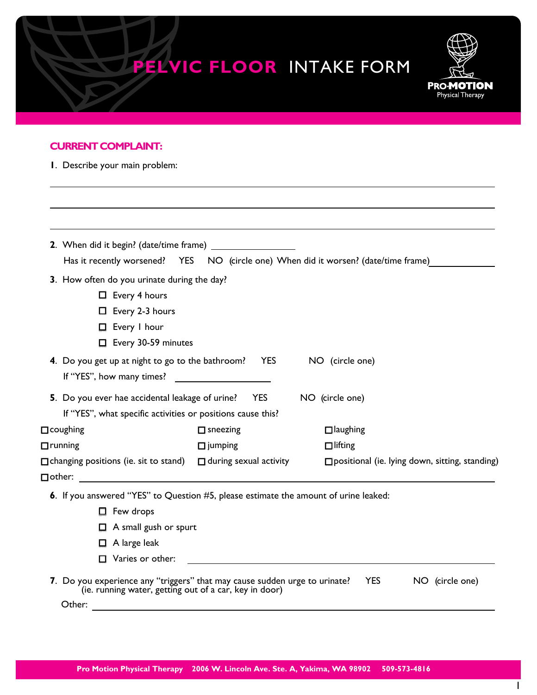|                                                                                                                    |                               | <b>PELVIC FLOOR INTAKE FORM</b>                       | <b>PRO-MOTION</b><br>Physical Therapy |
|--------------------------------------------------------------------------------------------------------------------|-------------------------------|-------------------------------------------------------|---------------------------------------|
| <b>CURRENT COMPLAINT:</b>                                                                                          |                               |                                                       |                                       |
| I. Describe your main problem:                                                                                     |                               |                                                       |                                       |
|                                                                                                                    |                               |                                                       |                                       |
| Has it recently worsened? YES NO (circle one) When did it worsen? (date/time frame)                                |                               |                                                       |                                       |
| 3. How often do you urinate during the day?                                                                        |                               |                                                       |                                       |
| $\Box$ Every 4 hours<br>$\Box$ Every 2-3 hours                                                                     |                               |                                                       |                                       |
| Every I hour                                                                                                       |                               |                                                       |                                       |
| Every 30-59 minutes                                                                                                |                               |                                                       |                                       |
| 4. Do you get up at night to go to the bathroom?                                                                   | <b>YES</b>                    | NO (circle one)                                       |                                       |
|                                                                                                                    |                               |                                                       |                                       |
| 5. Do you ever hae accidental leakage of urine? YES<br>If "YES", what specific activities or positions cause this? |                               | NO (circle one)                                       |                                       |
| $\Box$ coughing                                                                                                    | $\Box$ sneezing               | $\Box$ laughing                                       |                                       |
| $\Box$ running                                                                                                     | $\Box$ jumping                | $\Box$ lifting                                        |                                       |
| $\Box$ changing positions (ie. sit to stand)                                                                       | $\Box$ during sexual activity | $\Box$ positional (ie. lying down, sitting, standing) |                                       |
|                                                                                                                    |                               |                                                       |                                       |
| 6. If you answered "YES" to Question #5, please estimate the amount of urine leaked:                               |                               |                                                       |                                       |
| $\Box$ Few drops                                                                                                   |                               |                                                       |                                       |
| $\Box$ A small gush or spurt                                                                                       |                               |                                                       |                                       |
| $\Box$ A large leak                                                                                                |                               |                                                       |                                       |
| $\Box$ Varies or other:                                                                                            |                               |                                                       |                                       |

**7** you experience any "triggers" that may cause sudden urge to urinate: TES NO (circle one) (i.e. running water, getting out of a car, key in door) Other: with the contract of the contract of the contract of the contract of the contract of the contract of the contract of the contract of the contract of the contract of the contract of the contract of the contract of th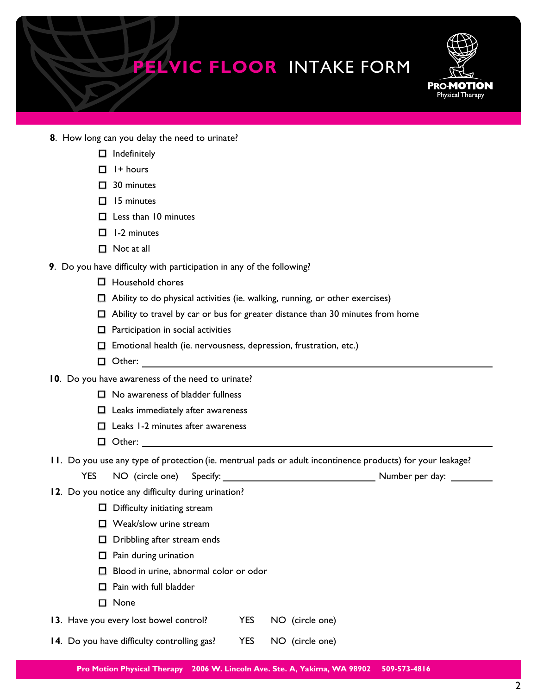

- **8**. How long can you delay the need to urinate?
	- $\Box$  Indefinitely
	- $\Box$  I + hours
	- □ 30 minutes
	- $\Box$  15 minutes
	- $\Box$  Less than 10 minutes
	- $\Box$  1-2 minutes
	- **Not at all**
- $\overline{\phantom{a}}$  **9** . Do you have difficulty with participation in any of the following?
	- $\Box$  Household chores
	- $\Box$  Ability to do physical activities (ie. walking, running, or other exercises)
	- Ability to travel by car or bus for greater distance than 30 minutes from home
	- $\Box$  Participation in social activities
	- $\Box$  Emotional health (ie. nervousness, depression, frustration, etc.)
	- □ Other:
- **10**. Do you have awareness of the need to urinate?
	- $\Box$  No awareness of bladder fullness
	- $\Box$  Leaks immediately after awareness
	- $\Box$  Leaks 1-2 minutes after awareness
	- □ Other:

**11**. Do you use any type of protection (ie. mentrual pads or adult incontinence products) for your leakage?

- YES NO (circle one) Specify: Number per day: Number per day:
- **12**. Do you notice any difficulty during urination?
	- $\Box$  Difficulty initiating stream
	- $\Box$  Weak/slow urine stream
	- $\Box$  Dribbling after stream ends
	- $\Box$  Pain during urination
	- $\Box$  Blood in urine, abnormal color or odor
	- **Pain with full bladder**
	- □ None

l,

- **13**. Have you every lost bowel control? YES NO (circle one)
- **14.** Do you have difficulty controlling gas? YES NO (circle one)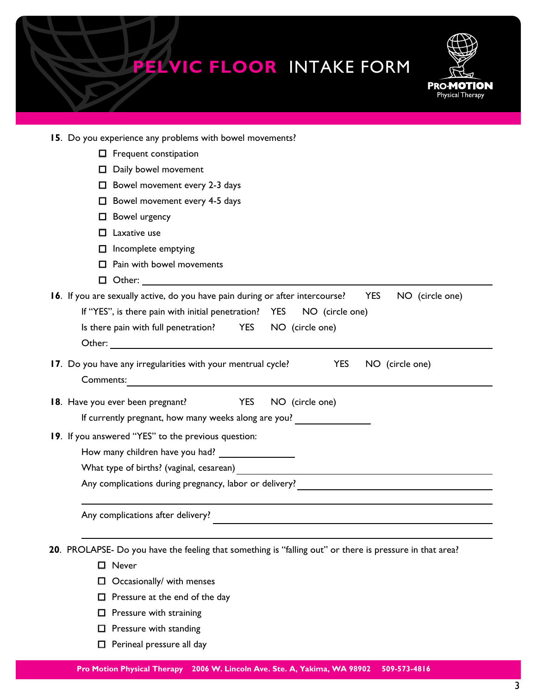| <b>PELVIC FLOOR INTAKE FORM</b><br><b>PRO-MOTION</b><br>Physical Therapy                                        |
|-----------------------------------------------------------------------------------------------------------------|
| 15. Do you experience any problems with bowel movements?                                                        |
| $\Box$ Frequent constipation                                                                                    |
| Daily bowel movement                                                                                            |
| $\Box$ Bowel movement every 2-3 days                                                                            |
| $\Box$ Bowel movement every 4-5 days                                                                            |
| $\Box$ Bowel urgency                                                                                            |
| Laxative use<br>п                                                                                               |
| $\Box$ Incomplete emptying                                                                                      |
| $\Box$ Pain with bowel movements                                                                                |
|                                                                                                                 |
| 16. If you are sexually active, do you have pain during or after intercourse?<br><b>YES</b><br>NO (circle one)  |
| If "YES", is there pain with initial penetration? YES<br>NO (circle one)                                        |
| Is there pain with full penetration? YES NO (circle one)                                                        |
|                                                                                                                 |
| 17. Do you have any irregularities with your mentrual cycle?<br><b>YES</b><br>NO (circle one)<br>Comments:      |
| 18. Have you ever been pregnant? YES<br>NO (circle one)<br>If currently pregnant, how many weeks along are you? |
| 19. If you answered "YES" to the previous question:                                                             |

- How many children have you had?
	- What type of births? (vaginal, cesarean)

Any complications during pregnancy, labor or delivery?

Any complications after delivery?

**20**. PROLAPSE- Do you have the feeling that something is "falling out" or there is pressure in that area?

<u> 1980 - Johann Barn, mars an t-Amerikaansk politiker (</u>

- □ Never
- $\Box$  Occasionally/ with menses
- $\Box$  Pressure at the end of the day
- $\Box$  Pressure with straining
- $\Box$  Pressure with standing
- **D** Perineal pressure all day